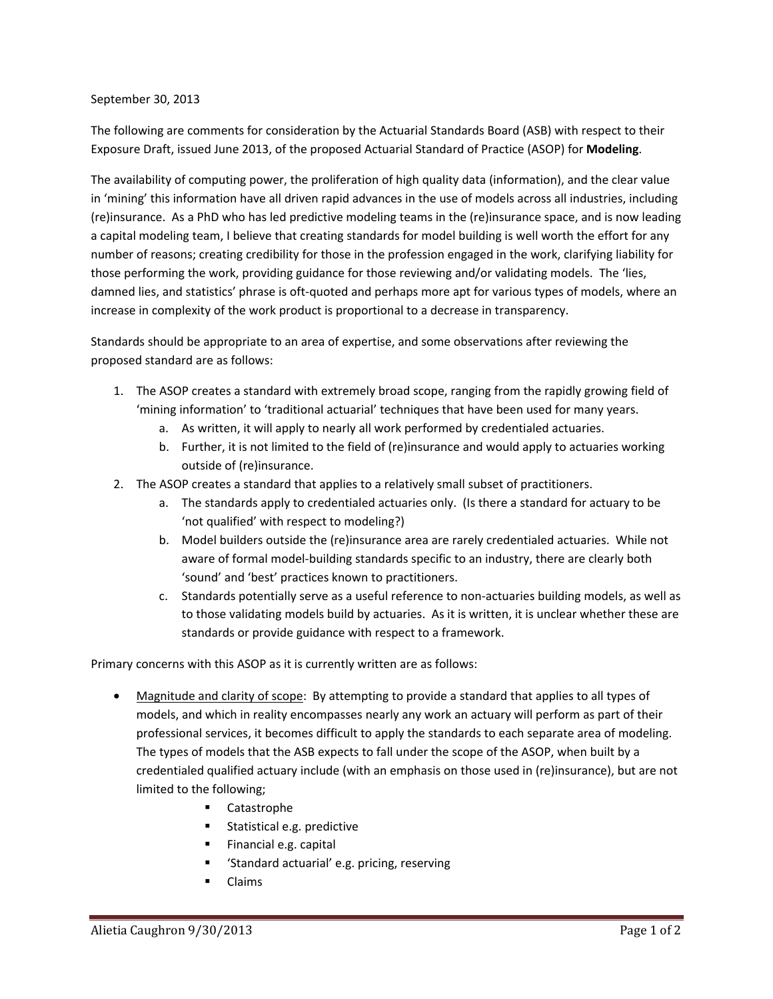## September 30, 2013

The following are comments for consideration by the Actuarial Standards Board (ASB) with respect to their Exposure Draft, issued June 2013, of the proposed Actuarial Standard of Practice (ASOP) for **Modeling**.

The availability of computing power, the proliferation of high quality data (information), and the clear value in 'mining' this information have all driven rapid advances in the use of models across all industries, including (re)insurance. As a PhD who has led predictive modeling teams in the (re)insurance space, and is now leading a capital modeling team, I believe that creating standards for model building is well worth the effort for any number of reasons; creating credibility for those in the profession engaged in the work, clarifying liability for those performing the work, providing guidance for those reviewing and/or validating models. The 'lies, damned lies, and statistics' phrase is oft-quoted and perhaps more apt for various types of models, where an increase in complexity of the work product is proportional to a decrease in transparency.

Standards should be appropriate to an area of expertise, and some observations after reviewing the proposed standard are as follows:

- 1. The ASOP creates a standard with extremely broad scope, ranging from the rapidly growing field of 'mining information' to 'traditional actuarial' techniques that have been used for many years.
	- a. As written, it will apply to nearly all work performed by credentialed actuaries.
	- b. Further, it is not limited to the field of (re)insurance and would apply to actuaries working outside of (re)insurance.
- 2. The ASOP creates a standard that applies to a relatively small subset of practitioners.
	- a. The standards apply to credentialed actuaries only. (Is there a standard for actuary to be 'not qualified' with respect to modeling?)
	- b. Model builders outside the (re)insurance area are rarely credentialed actuaries. While not aware of formal model-building standards specific to an industry, there are clearly both 'sound' and 'best' practices known to practitioners.
	- c. Standards potentially serve as a useful reference to non-actuaries building models, as well as to those validating models build by actuaries. As it is written, it is unclear whether these are standards or provide guidance with respect to a framework.

Primary concerns with this ASOP as it is currently written are as follows:

- Magnitude and clarity of scope: By attempting to provide a standard that applies to all types of models, and which in reality encompasses nearly any work an actuary will perform as part of their professional services, it becomes difficult to apply the standards to each separate area of modeling. The types of models that the ASB expects to fall under the scope of the ASOP, when built by a credentialed qualified actuary include (with an emphasis on those used in (re)insurance), but are not limited to the following;
	- **Catastrophe**
	- **Statistical e.g. predictive**
	- Financial e.g. capital
	- 'Standard actuarial' e.g. pricing, reserving
	- Claims